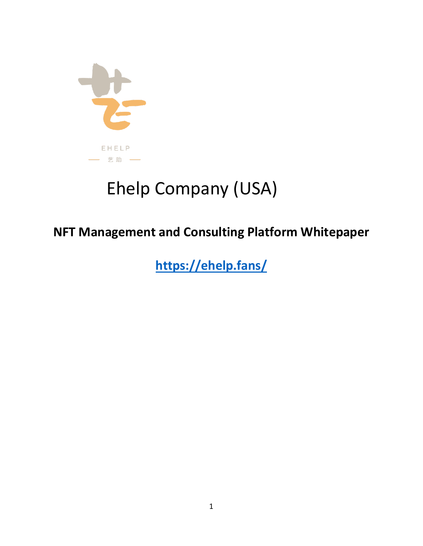

# Ehelp Company (USA)

# **NFT Management and Consulting Platform Whitepaper**

**<https://ehelp.fans/>**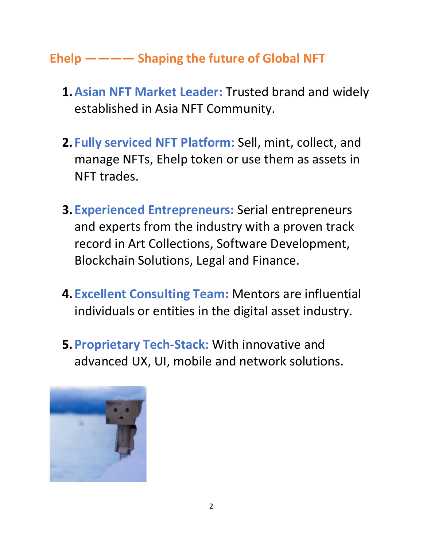# **Ehelp ———— Shaping the future of Global NFT**

- **1.Asian NFT Market Leader:** Trusted brand and widely established in Asia NFT Community.
- **2. Fully serviced NFT Platform:** Sell, mint, collect, and manage NFTs, Ehelp token or use them as assets in NFT trades.
- **3. Experienced Entrepreneurs:** Serial entrepreneurs and experts from the industry with a proven track record in Art Collections, Software Development, Blockchain Solutions, Legal and Finance.
- **4. Excellent Consulting Team:** Mentors are influential individuals or entities in the digital asset industry.
- **5.Proprietary Tech-Stack:** With innovative and advanced UX, UI, mobile and network solutions.

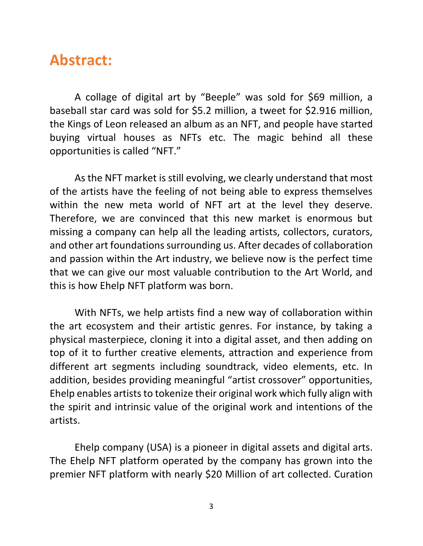# **Abstract:**

A collage of digital art by "Beeple" was sold for \$69 million, a baseball star card was sold for \$5.2 million, a tweet for \$2.916 million, the Kings of Leon released an album as an NFT, and people have started buying virtual houses as NFTs etc. The magic behind all these opportunities is called "NFT."

As the NFT market is still evolving, we clearly understand that most of the artists have the feeling of not being able to express themselves within the new meta world of NFT art at the level they deserve. Therefore, we are convinced that this new market is enormous but missing a company can help all the leading artists, collectors, curators, and other art foundations surrounding us. After decades of collaboration and passion within the Art industry, we believe now is the perfect time that we can give our most valuable contribution to the Art World, and this is how Ehelp NFT platform was born.

With NFTs, we help artists find a new way of collaboration within the art ecosystem and their artistic genres. For instance, by taking a physical masterpiece, cloning it into a digital asset, and then adding on top of it to further creative elements, attraction and experience from different art segments including soundtrack, video elements, etc. In addition, besides providing meaningful "artist crossover" opportunities, Ehelp enables artists to tokenize their original work which fully align with the spirit and intrinsic value of the original work and intentions of the artists.

Ehelp company (USA) is a pioneer in digital assets and digital arts. The Ehelp NFT platform operated by the company has grown into the premier NFT platform with nearly \$20 Million of art collected. Curation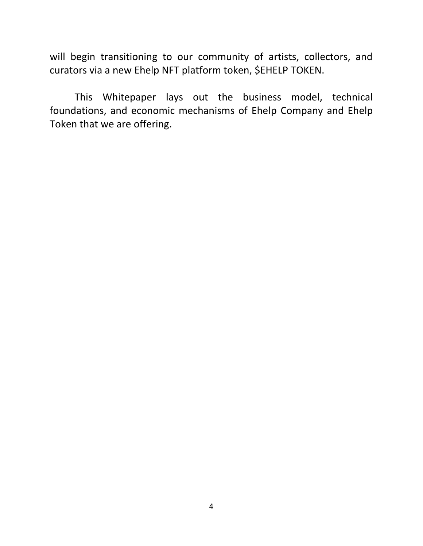will begin transitioning to our community of artists, collectors, and curators via a new Ehelp NFT platform token, \$EHELP TOKEN.

This Whitepaper lays out the business model, technical foundations, and economic mechanisms of Ehelp Company and Ehelp Token that we are offering.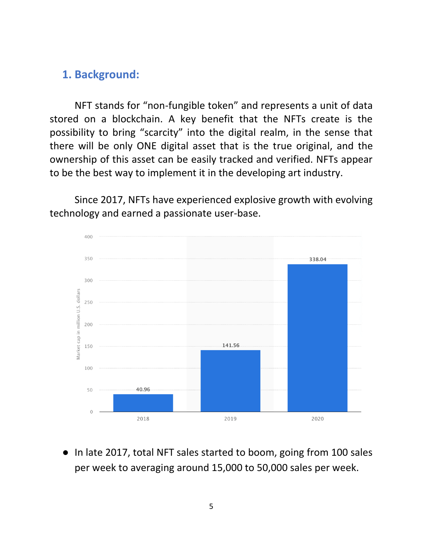### **1. Background:**

NFT stands for "non-fungible token" and represents a unit of data stored on a blockchain. A key benefit that the NFTs create is the possibility to bring "scarcity" into the digital realm, in the sense that there will be only ONE digital asset that is the true original, and the ownership of this asset can be easily tracked and verified. NFTs appear to be the best way to implement it in the developing art industry.

Since 2017, NFTs have experienced explosive growth with evolving technology and earned a passionate user-base.



In late 2017, total NFT sales started to boom, going from 100 sales per week to averaging around 15,000 to 50,000 sales per week.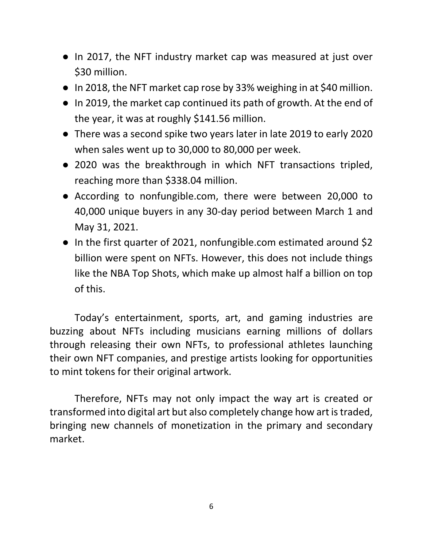- In 2017, the NFT industry market cap was measured at just over \$30 million.
- In 2018, the NFT market cap rose by 33% weighing in at \$40 million.
- In 2019, the market cap continued its path of growth. At the end of the year, it was at roughly \$141.56 million.
- There was a second spike two years later in late 2019 to early 2020 when sales went up to 30,000 to 80,000 per week.
- 2020 was the breakthrough in which NFT transactions tripled, reaching more than \$338.04 million.
- According to nonfungible.com, there were between 20,000 to 40,000 unique buyers in any 30-day period between March 1 and May 31, 2021.
- In the first quarter of 2021, nonfungible.com estimated around \$2 billion were spent on NFTs. However, this does not include things like the NBA Top Shots, which make up almost half a billion on top of this.

Today's entertainment, sports, art, and gaming industries are buzzing about NFTs including musicians earning millions of dollars through releasing their own NFTs, to professional athletes launching their own NFT companies, and prestige artists looking for opportunities to mint tokens for their original artwork.

Therefore, NFTs may not only impact the way art is created or transformed into digital art but also completely change how art is traded, bringing new channels of monetization in the primary and secondary market.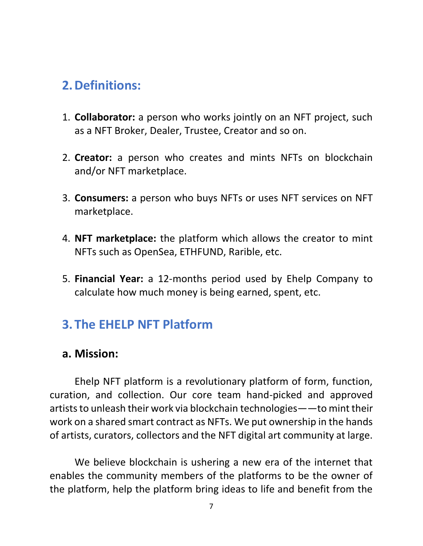# **2.Definitions:**

- 1. **Collaborator:** a person who works jointly on an NFT project, such as a NFT Broker, Dealer, Trustee, Creator and so on.
- 2. **Creator:** a person who creates and mints NFTs on blockchain and/or NFT marketplace.
- 3. **Consumers:** a person who buys NFTs or uses NFT services on NFT marketplace.
- 4. **NFT marketplace:** the platform which allows the creator to mint NFTs such as OpenSea, ETHFUND, Rarible, etc.
- 5. **Financial Year:** a 12-months period used by Ehelp Company to calculate how much money is being earned, spent, etc.

# **3.The EHELP NFT Platform**

### **a. Mission:**

Ehelp NFT platform is a revolutionary platform of form, function, curation, and collection. Our core team hand-picked and approved artists to unleash their work via blockchain technologies——to mint their work on a shared smart contract as NFTs. We put ownership in the hands of artists, curators, collectors and the NFT digital art community at large.

We believe blockchain is ushering a new era of the internet that enables the community members of the platforms to be the owner of the platform, help the platform bring ideas to life and benefit from the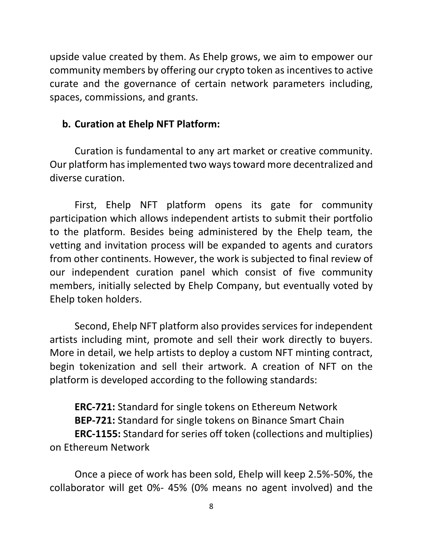upside value created by them. As Ehelp grows, we aim to empower our community members by offering our crypto token as incentives to active curate and the governance of certain network parameters including, spaces, commissions, and grants.

#### **b. Curation at Ehelp NFT Platform:**

Curation is fundamental to any art market or creative community. Our platform has implemented two ways toward more decentralized and diverse curation.

First, Ehelp NFT platform opens its gate for community participation which allows independent artists to submit their portfolio to the platform. Besides being administered by the Ehelp team, the vetting and invitation process will be expanded to agents and curators from other continents. However, the work is subjected to final review of our independent curation panel which consist of five community members, initially selected by Ehelp Company, but eventually voted by Ehelp token holders.

Second, Ehelp NFT platform also provides services for independent artists including mint, promote and sell their work directly to buyers. More in detail, we help artists to deploy a custom NFT minting contract, begin tokenization and sell their artwork. A creation of NFT on the platform is developed according to the following standards:

**ERC-721:** Standard for single tokens on Ethereum Network **BEP-721:** Standard for single tokens on Binance Smart Chain **ERC-1155:** Standard for series off token (collections and multiplies) on Ethereum Network

Once a piece of work has been sold, Ehelp will keep 2.5%-50%, the collaborator will get 0%- 45% (0% means no agent involved) and the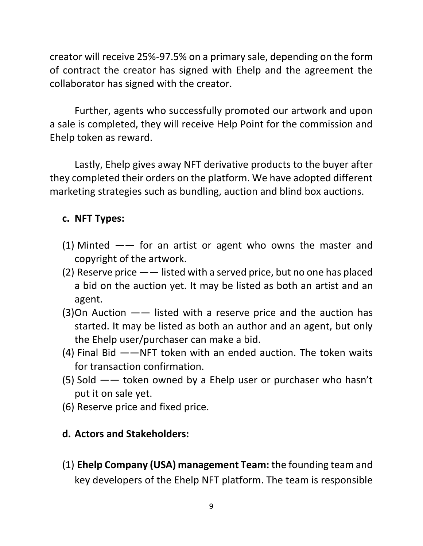creator will receive 25%-97.5% on a primary sale, depending on the form of contract the creator has signed with Ehelp and the agreement the collaborator has signed with the creator.

Further, agents who successfully promoted our artwork and upon a sale is completed, they will receive Help Point for the commission and Ehelp token as reward.

Lastly, Ehelp gives away NFT derivative products to the buyer after they completed their orders on the platform. We have adopted different marketing strategies such as bundling, auction and blind box auctions.

#### **c. NFT Types:**

- (1) Minted  $--$  for an artist or agent who owns the master and copyright of the artwork.
- (2) Reserve price —— listed with a served price, but no one has placed a bid on the auction yet. It may be listed as both an artist and an agent.
- $(3)$ On Auction  $-\frac{1}{1}$  listed with a reserve price and the auction has started. It may be listed as both an author and an agent, but only the Ehelp user/purchaser can make a bid.
- (4) Final Bid ——NFT token with an ended auction. The token waits for transaction confirmation.
- (5) Sold —— token owned by a Ehelp user or purchaser who hasn't put it on sale yet.
- (6) Reserve price and fixed price.

#### **d. Actors and Stakeholders:**

(1) **Ehelp Company (USA) management Team:** the founding team and key developers of the Ehelp NFT platform. The team is responsible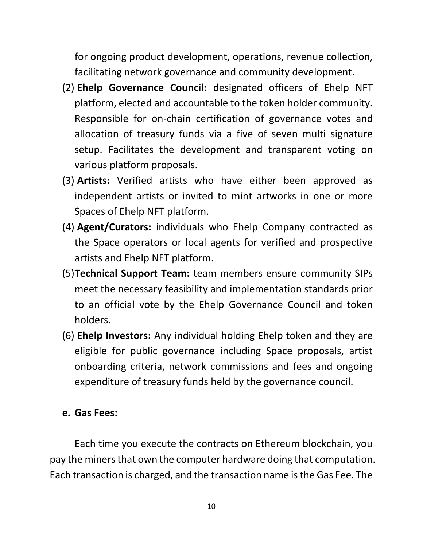for ongoing product development, operations, revenue collection, facilitating network governance and community development.

- (2) **Ehelp Governance Council:** designated officers of Ehelp NFT platform, elected and accountable to the token holder community. Responsible for on-chain certification of governance votes and allocation of treasury funds via a five of seven multi signature setup. Facilitates the development and transparent voting on various platform proposals.
- (3) **Artists:** Verified artists who have either been approved as independent artists or invited to mint artworks in one or more Spaces of Ehelp NFT platform.
- (4) **Agent/Curators:** individuals who Ehelp Company contracted as the Space operators or local agents for verified and prospective artists and Ehelp NFT platform.
- (5)**Technical Support Team:** team members ensure community SIPs meet the necessary feasibility and implementation standards prior to an official vote by the Ehelp Governance Council and token holders.
- (6) **Ehelp Investors:** Any individual holding Ehelp token and they are eligible for public governance including Space proposals, artist onboarding criteria, network commissions and fees and ongoing expenditure of treasury funds held by the governance council.

#### **e. Gas Fees:**

Each time you execute the contracts on Ethereum blockchain, you pay the miners that own the computer hardware doing that computation. Each transaction is charged, and the transaction name is the Gas Fee. The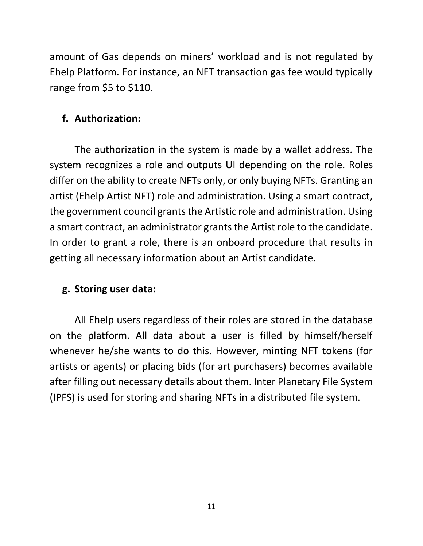amount of Gas depends on miners' workload and is not regulated by Ehelp Platform. For instance, an NFT transaction gas fee would typically range from \$5 to \$110.

### **f. Authorization:**

The authorization in the system is made by a wallet address. The system recognizes a role and outputs UI depending on the role. Roles differ on the ability to create NFTs only, or only buying NFTs. Granting an artist (Ehelp Artist NFT) role and administration. Using a smart contract, the government council grants the Artistic role and administration. Using a smart contract, an administrator grants the Artist role to the candidate. In order to grant a role, there is an onboard procedure that results in getting all necessary information about an Artist candidate.

#### **g. Storing user data:**

All Ehelp users regardless of their roles are stored in the database on the platform. All data about a user is filled by himself/herself whenever he/she wants to do this. However, minting NFT tokens (for artists or agents) or placing bids (for art purchasers) becomes available after filling out necessary details about them. Inter Planetary File System (IPFS) is used for storing and sharing NFTs in a distributed file system.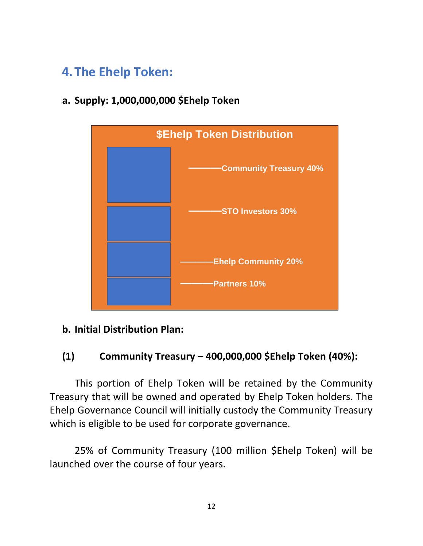# **4.The Ehelp Token:**

**a. Supply: 1,000,000,000 \$Ehelp Token**



#### **b. Initial Distribution Plan:**

### **(1) Community Treasury – 400,000,000 \$Ehelp Token (40%):**

This portion of Ehelp Token will be retained by the Community Treasury that will be owned and operated by Ehelp Token holders. The Ehelp Governance Council will initially custody the Community Treasury which is eligible to be used for corporate governance.

25% of Community Treasury (100 million \$Ehelp Token) will be launched over the course of four years.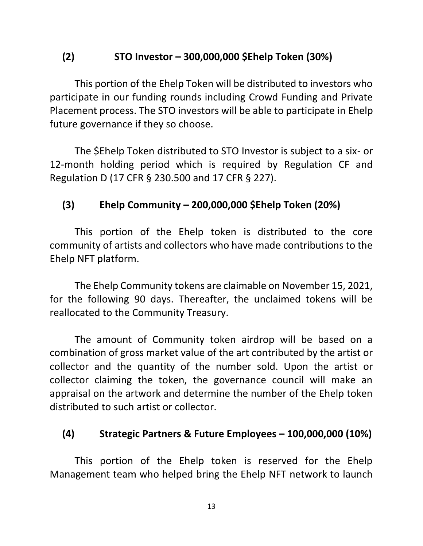### **(2) STO Investor – 300,000,000 \$Ehelp Token (30%)**

This portion of the Ehelp Token will be distributed to investors who participate in our funding rounds including Crowd Funding and Private Placement process. The STO investors will be able to participate in Ehelp future governance if they so choose.

The \$Ehelp Token distributed to STO Investor is subject to a six- or 12-month holding period which is required by Regulation CF and Regulation D (17 CFR § 230.500 and 17 CFR § 227).

### **(3) Ehelp Community – 200,000,000 \$Ehelp Token (20%)**

This portion of the Ehelp token is distributed to the core community of artists and collectors who have made contributions to the Ehelp NFT platform.

The Ehelp Community tokens are claimable on November 15, 2021, for the following 90 days. Thereafter, the unclaimed tokens will be reallocated to the Community Treasury.

The amount of Community token airdrop will be based on a combination of gross market value of the art contributed by the artist or collector and the quantity of the number sold. Upon the artist or collector claiming the token, the governance council will make an appraisal on the artwork and determine the number of the Ehelp token distributed to such artist or collector.

### **(4) Strategic Partners & Future Employees – 100,000,000 (10%)**

This portion of the Ehelp token is reserved for the Ehelp Management team who helped bring the Ehelp NFT network to launch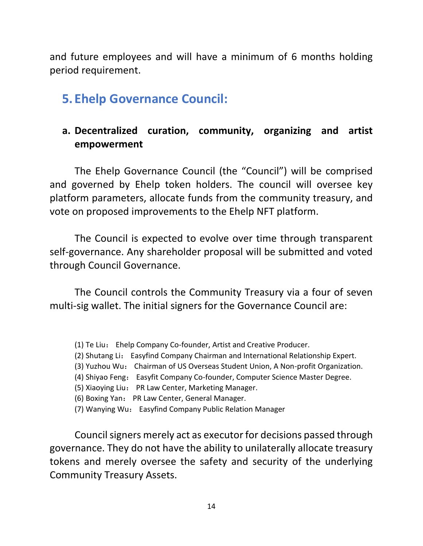and future employees and will have a minimum of 6 months holding period requirement.

# **5. Ehelp Governance Council:**

### **a. Decentralized curation, community, organizing and artist empowerment**

The Ehelp Governance Council (the "Council") will be comprised and governed by Ehelp token holders. The council will oversee key platform parameters, allocate funds from the community treasury, and vote on proposed improvements to the Ehelp NFT platform.

The Council is expected to evolve over time through transparent self-governance. Any shareholder proposal will be submitted and voted through Council Governance.

The Council controls the Community Treasury via a four of seven multi-sig wallet. The initial signers for the Governance Council are:

- (1) Te Liu: Ehelp Company Co-founder, Artist and Creative Producer.
- (2) Shutang Li: Easyfind Company Chairman and International Relationship Expert.
- (3) Yuzhou Wu: Chairman of US Overseas Student Union, A Non-profit Organization.
- (4) Shiyao Feng: Easyfit Company Co-founder, Computer Science Master Degree.
- (5) Xiaoying Liu: PR Law Center, Marketing Manager.
- (6) Boxing Yan: PR Law Center, General Manager.
- (7) Wanying Wu: Easyfind Company Public Relation Manager

Council signers merely act as executor for decisions passed through governance. They do not have the ability to unilaterally allocate treasury tokens and merely oversee the safety and security of the underlying Community Treasury Assets.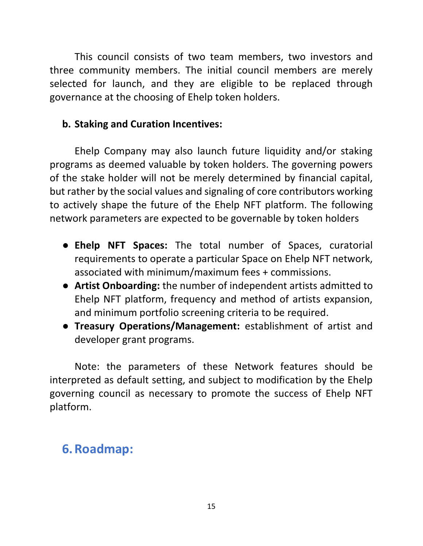This council consists of two team members, two investors and three community members. The initial council members are merely selected for launch, and they are eligible to be replaced through governance at the choosing of Ehelp token holders.

### **b. Staking and Curation Incentives:**

Ehelp Company may also launch future liquidity and/or staking programs as deemed valuable by token holders. The governing powers of the stake holder will not be merely determined by financial capital, but rather by the social values and signaling of core contributors working to actively shape the future of the Ehelp NFT platform. The following network parameters are expected to be governable by token holders

- **Ehelp NFT Spaces:** The total number of Spaces, curatorial requirements to operate a particular Space on Ehelp NFT network, associated with minimum/maximum fees + commissions.
- **Artist Onboarding:** the number of independent artists admitted to Ehelp NFT platform, frequency and method of artists expansion, and minimum portfolio screening criteria to be required.
- **Treasury Operations/Management:** establishment of artist and developer grant programs.

Note: the parameters of these Network features should be interpreted as default setting, and subject to modification by the Ehelp governing council as necessary to promote the success of Ehelp NFT platform.

# **6.Roadmap:**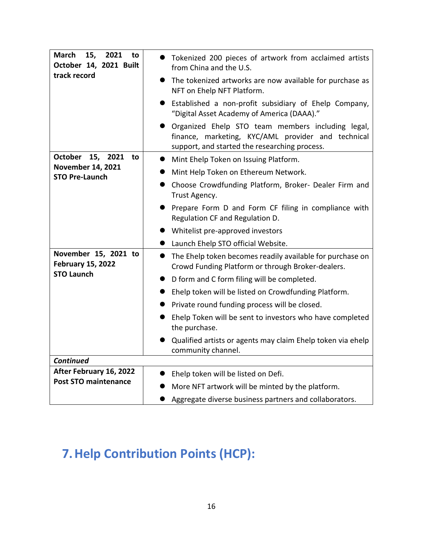| <b>March</b><br>2021<br>15,<br>to<br>October 14, 2021 Built                           | Tokenized 200 pieces of artwork from acclaimed artists<br>from China and the U.S.                                                                        |
|---------------------------------------------------------------------------------------|----------------------------------------------------------------------------------------------------------------------------------------------------------|
| track record                                                                          | The tokenized artworks are now available for purchase as<br>NFT on Ehelp NFT Platform.                                                                   |
|                                                                                       | Established a non-profit subsidiary of Ehelp Company,<br>"Digital Asset Academy of America (DAAA)."                                                      |
|                                                                                       | Organized Ehelp STO team members including legal,<br>finance, marketing, KYC/AML provider and technical<br>support, and started the researching process. |
| <b>October</b><br>15, 2021<br>to<br><b>November 14, 2021</b><br><b>STO Pre-Launch</b> | Mint Ehelp Token on Issuing Platform.                                                                                                                    |
|                                                                                       | Mint Help Token on Ethereum Network.                                                                                                                     |
|                                                                                       | Choose Crowdfunding Platform, Broker- Dealer Firm and<br>Trust Agency.                                                                                   |
|                                                                                       | Prepare Form D and Form CF filing in compliance with<br>Regulation CF and Regulation D.                                                                  |
|                                                                                       | Whitelist pre-approved investors                                                                                                                         |
|                                                                                       | Launch Ehelp STO official Website.                                                                                                                       |
| November 15, 2021 to<br><b>February 15, 2022</b><br><b>STO Launch</b>                 | The Ehelp token becomes readily available for purchase on<br>$\bullet$<br>Crowd Funding Platform or through Broker-dealers.                              |
|                                                                                       | D form and C form filing will be completed.                                                                                                              |
|                                                                                       | Ehelp token will be listed on Crowdfunding Platform.                                                                                                     |
|                                                                                       | Private round funding process will be closed.                                                                                                            |
|                                                                                       | Ehelp Token will be sent to investors who have completed<br>the purchase.                                                                                |
|                                                                                       | Qualified artists or agents may claim Ehelp token via ehelp<br>community channel.                                                                        |
| <b>Continued</b>                                                                      |                                                                                                                                                          |
| After February 16, 2022<br><b>Post STO maintenance</b>                                | Ehelp token will be listed on Defi.                                                                                                                      |
|                                                                                       | More NFT artwork will be minted by the platform.                                                                                                         |
|                                                                                       | Aggregate diverse business partners and collaborators.                                                                                                   |

# **7.Help Contribution Points (HCP):**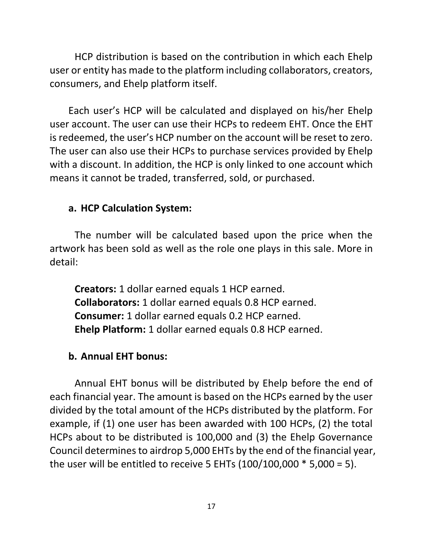HCP distribution is based on the contribution in which each Ehelp user or entity has made to the platform including collaborators, creators, consumers, and Ehelp platform itself.

Each user's HCP will be calculated and displayed on his/her Ehelp user account. The user can use their HCPs to redeem EHT. Once the EHT is redeemed, the user's HCP number on the account will be reset to zero. The user can also use their HCPs to purchase services provided by Ehelp with a discount. In addition, the HCP is only linked to one account which means it cannot be traded, transferred, sold, or purchased.

#### **a. HCP Calculation System:**

The number will be calculated based upon the price when the artwork has been sold as well as the role one plays in this sale. More in detail:

**Creators:** 1 dollar earned equals 1 HCP earned. **Collaborators:** 1 dollar earned equals 0.8 HCP earned. **Consumer:** 1 dollar earned equals 0.2 HCP earned. **Ehelp Platform:** 1 dollar earned equals 0.8 HCP earned.

#### **b. Annual EHT bonus:**

Annual EHT bonus will be distributed by Ehelp before the end of each financial year. The amount is based on the HCPs earned by the user divided by the total amount of the HCPs distributed by the platform. For example, if (1) one user has been awarded with 100 HCPs, (2) the total HCPs about to be distributed is 100,000 and (3) the Ehelp Governance Council determines to airdrop 5,000 EHTs by the end of the financial year, the user will be entitled to receive 5 EHTs (100/100,000 \* 5,000 = 5).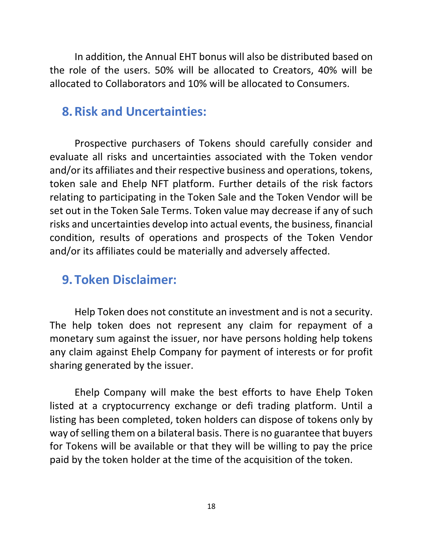In addition, the Annual EHT bonus will also be distributed based on the role of the users. 50% will be allocated to Creators, 40% will be allocated to Collaborators and 10% will be allocated to Consumers.

### **8.Risk and Uncertainties:**

Prospective purchasers of Tokens should carefully consider and evaluate all risks and uncertainties associated with the Token vendor and/or its affiliates and their respective business and operations, tokens, token sale and Ehelp NFT platform. Further details of the risk factors relating to participating in the Token Sale and the Token Vendor will be set out in the Token Sale Terms. Token value may decrease if any of such risks and uncertainties develop into actual events, the business, financial condition, results of operations and prospects of the Token Vendor and/or its affiliates could be materially and adversely affected.

### **9.Token Disclaimer:**

Help Token does not constitute an investment and is not a security. The help token does not represent any claim for repayment of a monetary sum against the issuer, nor have persons holding help tokens any claim against Ehelp Company for payment of interests or for profit sharing generated by the issuer.

Ehelp Company will make the best efforts to have Ehelp Token listed at a cryptocurrency exchange or defi trading platform. Until a listing has been completed, token holders can dispose of tokens only by way of selling them on a bilateral basis. There is no guarantee that buyers for Tokens will be available or that they will be willing to pay the price paid by the token holder at the time of the acquisition of the token.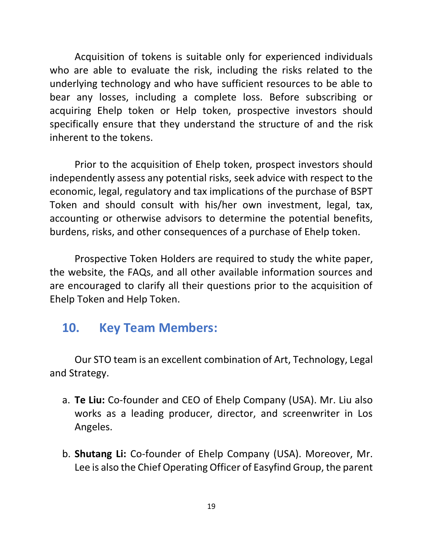Acquisition of tokens is suitable only for experienced individuals who are able to evaluate the risk, including the risks related to the underlying technology and who have sufficient resources to be able to bear any losses, including a complete loss. Before subscribing or acquiring Ehelp token or Help token, prospective investors should specifically ensure that they understand the structure of and the risk inherent to the tokens.

Prior to the acquisition of Ehelp token, prospect investors should independently assess any potential risks, seek advice with respect to the economic, legal, regulatory and tax implications of the purchase of BSPT Token and should consult with his/her own investment, legal, tax, accounting or otherwise advisors to determine the potential benefits, burdens, risks, and other consequences of a purchase of Ehelp token.

Prospective Token Holders are required to study the white paper, the website, the FAQs, and all other available information sources and are encouraged to clarify all their questions prior to the acquisition of Ehelp Token and Help Token.

# **10. Key Team Members:**

Our STO team is an excellent combination of Art, Technology, Legal and Strategy.

- a. **Te Liu:** Co-founder and CEO of Ehelp Company (USA). Mr. Liu also works as a leading producer, director, and screenwriter in Los Angeles.
- b. **Shutang Li:** Co-founder of Ehelp Company (USA). Moreover, Mr. Lee is also the Chief Operating Officer of Easyfind Group, the parent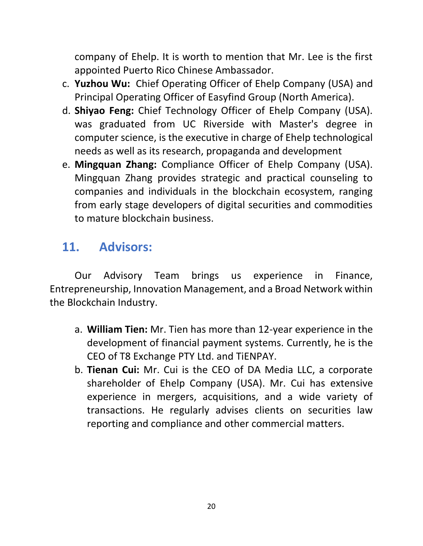company of Ehelp. It is worth to mention that Mr. Lee is the first appointed Puerto Rico Chinese Ambassador.

- c. **Yuzhou Wu:** Chief Operating Officer of Ehelp Company (USA) and Principal Operating Officer of Easyfind Group (North America).
- d. **Shiyao Feng:** Chief Technology Officer of Ehelp Company (USA). was graduated from UC Riverside with Master's degree in computer science, is the executive in charge of Ehelp technological needs as well as its research, propaganda and development
- e. **Mingquan Zhang:** Compliance Officer of Ehelp Company (USA). Mingquan Zhang provides strategic and practical counseling to companies and individuals in the blockchain ecosystem, ranging from early stage developers of digital securities and commodities to mature blockchain business.

# **11. Advisors:**

Our Advisory Team brings us experience in Finance, Entrepreneurship, Innovation Management, and a Broad Network within the Blockchain Industry.

- a. **William Tien:** Mr. Tien has more than 12-year experience in the development of financial payment systems. Currently, he is the CEO of T8 Exchange PTY Ltd. and TiENPAY.
- b. **Tienan Cui:** Mr. Cui is the CEO of DA Media LLC, a corporate shareholder of Ehelp Company (USA). Mr. Cui has extensive experience in mergers, acquisitions, and a wide variety of transactions. He regularly advises clients on securities law reporting and compliance and other commercial matters.